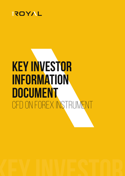

# **Key Investor Information Document** CFD ON Forex Instrument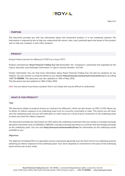# **AYOT!**

#### **PURPOSE**

This document provides you with key information about this investment product. It is not marketing material. The information is required by law to help you understand the nature, risks, costs, potential gains and losses of this product and to help you compare it with other products.

# **PRODUCT**

Product Name Contract for difference ("CFD") on a forex ("FX").

Product manufacturer **Royal Financial Trading (Cy) Ltd** (hereinafter the "Company"), authorised and regulated by the Cyprus Securities and Exchange Commission in Cyprus (License Number: 312/16).

Further information You can find more information about Royal Financial Trading (Cy) Ltd and our products on our website. You can contact us using the details on our website **https://oneroyal.com/eu/royal-core/contact-us/** or by calling **+357 25 080880**. This document was last updated on 26th of May 2020 This document was last updated on 26th of May 2020.

Alert: You are about to purchase a product that is not simple and may be difficult to understand.

#### **WHAT IS THIS PRODUCT?**

#### **Type**

This document relates to products known as 'contracts for difference', which are also known as CFDs. A CFD allows you to obtain an indirect exposure to an underlying asset such as a security, commodity or index. This means you will never own the underlying asset, but you will make gains or suffer losses as a result of price movements in the underlying asset to which you have the indirect exposure.

This document provides key information on CFDs where the underlying investment that you choose is a foreign exchange derivative instrument such as EURUSD or GBPUSD. A foreign exchange derivative is a contract that has foreign exchange as the underlying asset. You can visit **https://oneroyal.com/eu/markets/forex/** for information on the underlying assets available to you.

#### **Objectives**

The objective of trading CFDs is to speculate on price movements (generally over the short term) in an underlying asset by obtaining an indirect exposure to the underlying asset. Your return depends on movements in the price of the underlying asset and the size of your stake.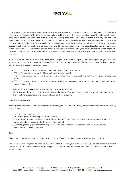

For example, if you believe the value of a forex instrument is going to increase, you would buy a number of CFDs (this is also known as "going long"), with the intention to later sell them when they are at a higher value. The difference between the price at which you buy and the price at which you subsequently sell equates to your profit, minus any relevant costs (detailed below). If you think the value of a forex instrument is going to decrease, you would sell a number of CFDs (this is also known as "going short") at a specific value, expecting to later buy them back at a lower price than you previously agreed to sell them for, resulting in us paying you the difference, minus any relevant costs (detailed below). However, in either circumstance if the forex instrument moves in the opposite direction and your position is closed, either by you or as a result of a margin call (detailed below), you would owe us the amount of any loss you have incurred together with any costs.

To open a position and to protect us against any losses you incur, you are required to deposit a percentage of the total value of the contract in your account. This is referred to as the margin requirement (see further below). Trading on margin can enhance any losses or gains you make.

- CFD on Forex are complex, extremely risky, and usually highly speculative;
- CFD on Forex entail a high risk of losing all the invested capital;
- The Forex values are subject to extreme price volatility and hence may result in significant loss over a short period of time;
- CFD on Forex are not appropriate for all investors. As such, customers should not engage in trading in relation to such products if they
- a) do not have the necessary knowledge in this specific product; or
- b) if they cannot bear the loss of the entire invested amount. Customers must be fully aware of, and understand, the specific characteristics and risks in relation to these products

#### **Intended Retail Investor**

Trading these products will not be appropriate for everyone. We would normally expect these products to be used by persons who:

- (i) have a high-risk tolerance;
- (ii) are trading with money they can afford to lose;
- (iii) have experience with, and are comfortable trading on, financial markets and, separately, understand the impact of and risks associated with margin trading; and
- (iv) want to generally gain short term exposures to financial instruments/markets, and have a diversified investment and savings portfolio.

#### **Term**

CFDs have no maturity date or minimum holding period. You decide when to open and close your positions.

We are under the obligation to close your position without seeking your prior consent if you do not maintain sufficient margin (less than 50% of the initial margin) in your account. More information about when we can close your position is set out below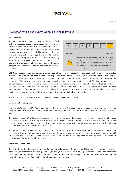# **EROYAL**

## **WHAT ARE THE RISKS AND WHAT COULD I GET IN RETURN?**

#### **Risk Indicator**

The summary risk indicator is a guide to the level of risk of this product compared to other products. It shows how likely it is that the product will lose money because of movements in the markets or because we are not able to pay you. We have classified this product as 7 out of 7, which is the highest risk class. This is due to the high likelihood of losing your entire investment and facing losses that can exceed your account balance (in this scenario the Company will offset any negative balances capping your maximum loss to the amount of your account).



CFD trading requires you to maintain a certain level of funds in your account to keep your positions open. This is called margin. You will be able to open a position by depositing only a small percentage of the notional value of the position, creating a leveraged position. Leverage can significantly magnify your gains and losses. If the funds in your account are no longer sufficient to keep your position open, you will be required to make up this shortfall. This is a margin call. If you do not meet your margin call, we may close your position (immediately and without notice) and you will realise any losses. Our CFDs are not listed on any exchange, and the prices and other conditions are set by us in accordance with our best execution policy. The contract can be closed only with us, and are not transferable to any other provider. If you have multiple positions with us, your risk may be cumulative and not limited to one position.

The tax regime of the country in which you are domiciled may impact your return.

#### **Be aware of currency risk**

it is possible to buy or sell CFDs in a currency which is different to the base currency of your account. The final return you may get depends on the exchange rate between the two currencies. This risk is not considered in the indicator shown above.

This product does not include any protection from future market performance so you could lose some or all of your investment. If we are not able to pay you what is owed, you could lose your entire investment. However, you may benefit from a consumer protection scheme (see the section 'what happens if the company is unable to pay out'). The indicator shown above does not consider this protection.

This product does not include any protection from future market performance so you could lose some or all of your investment. If we are not able to pay you what is owed, you could lose your entire investment. However, you may benefit from a consumer protection scheme (see the section 'what happens if the company is unable to pay out'). The indicator shown above does not consider this protection.

#### **Performance Scenarios**

This key information document is not specific to a particular product. It applies to a CFD on any currency pair. However, each CFD you enter into with us is specific to you and your choices. You will be responsible for choosing the underlying asset; when you open and close your position; the size of your position and your margin; and whether to use any risk mitigation features we offer (such as stop loss orders), for example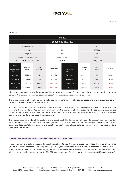# EROYAL

#### **Example:**



# **Market developments in the future cannot be accurately predicted. The scenarios shown are only an indication of some of the possible outcomes based on recent returns. Actual returns could be lower**

The stress scenario above shows how small price movements can rapidly lead to losses and in this circumstance, will result in a forced close out of your position.

This does not take into account a situation where we are unable to pay you. The scenarios shown illustrate how your investment could perform. You can compare them with the scenarios of other products. The scenarios presented are an estimate of future performance and are not exact indicators. What you get will vary depending on how the market performs and how long you keep the investment.

The figures shown include all the costs of the product itself. The figures do not take into account your personal tax situation, which may also affect how much you get back. This performance scenario assumes you only have one position open, and does not take into account the negative or positive cumulative balance you may have if you have multiple open positions with us

## **WHAT HAPPENS IF THE COMPANY IS UNABLE TO PAY OUT?**

If the company is unable to meet its financial obligations to you, this could cause you to lose the value of any CFDs you have with the company. The company segregates your funds from its own money in accordance with the CySEC Safeguarding of Client Funds. Should segregation fail, your investment is covered by the Investors Compensation Fund which covers eligible investments up to €20,000 per person, per firm See **www.cysec.gov.cy/en-GB/complaints/tae/**